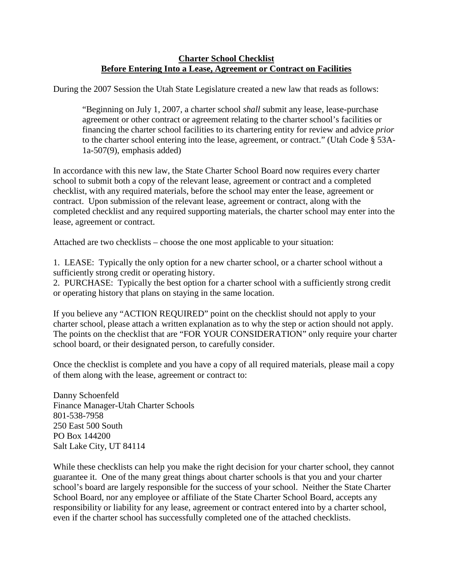## **Charter School Checklist Before Entering Into a Lease, Agreement or Contract on Facilities**

During the 2007 Session the Utah State Legislature created a new law that reads as follows:

"Beginning on July 1, 2007, a charter school *shall* submit any lease, lease-purchase agreement or other contract or agreement relating to the charter school's facilities or financing the charter school facilities to its chartering entity for review and advice *prior* to the charter school entering into the lease, agreement, or contract." (Utah Code § 53A-1a-507(9), emphasis added)

In accordance with this new law, the State Charter School Board now requires every charter school to submit both a copy of the relevant lease, agreement or contract and a completed checklist, with any required materials, before the school may enter the lease, agreement or contract. Upon submission of the relevant lease, agreement or contract, along with the completed checklist and any required supporting materials, the charter school may enter into the lease, agreement or contract.

Attached are two checklists – choose the one most applicable to your situation:

1. LEASE: Typically the only option for a new charter school, or a charter school without a sufficiently strong credit or operating history.

2. PURCHASE: Typically the best option for a charter school with a sufficiently strong credit or operating history that plans on staying in the same location.

If you believe any "ACTION REQUIRED" point on the checklist should not apply to your charter school, please attach a written explanation as to why the step or action should not apply. The points on the checklist that are "FOR YOUR CONSIDERATION" only require your charter school board, or their designated person, to carefully consider.

Once the checklist is complete and you have a copy of all required materials, please mail a copy of them along with the lease, agreement or contract to:

Danny Schoenfeld Finance Manager-Utah Charter Schools 801-538-7958 250 East 500 South PO Box 144200 Salt Lake City, UT 84114

While these checklists can help you make the right decision for your charter school, they cannot guarantee it. One of the many great things about charter schools is that you and your charter school's board are largely responsible for the success of your school. Neither the State Charter School Board, nor any employee or affiliate of the State Charter School Board, accepts any responsibility or liability for any lease, agreement or contract entered into by a charter school, even if the charter school has successfully completed one of the attached checklists.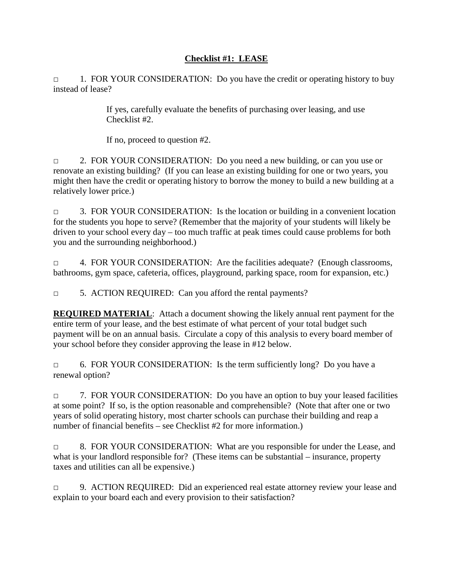## **Checklist #1: LEASE**

□ 1. FOR YOUR CONSIDERATION: Do you have the credit or operating history to buy instead of lease?

> If yes, carefully evaluate the benefits of purchasing over leasing, and use Checklist #2.

If no, proceed to question #2.

□ 2. FOR YOUR CONSIDERATION: Do you need a new building, or can you use or renovate an existing building? (If you can lease an existing building for one or two years, you might then have the credit or operating history to borrow the money to build a new building at a relatively lower price.)

□ 3. FOR YOUR CONSIDERATION: Is the location or building in a convenient location for the students you hope to serve? (Remember that the majority of your students will likely be driven to your school every day – too much traffic at peak times could cause problems for both you and the surrounding neighborhood.)

□ 4. FOR YOUR CONSIDERATION: Are the facilities adequate? (Enough classrooms, bathrooms, gym space, cafeteria, offices, playground, parking space, room for expansion, etc.)

□ 5. ACTION REQUIRED: Can you afford the rental payments?

**REQUIRED MATERIAL**: Attach a document showing the likely annual rent payment for the entire term of your lease, and the best estimate of what percent of your total budget such payment will be on an annual basis. Circulate a copy of this analysis to every board member of your school before they consider approving the lease in #12 below.

□ 6. FOR YOUR CONSIDERATION: Is the term sufficiently long? Do you have a renewal option?

□ 7. FOR YOUR CONSIDERATION: Do you have an option to buy your leased facilities at some point? If so, is the option reasonable and comprehensible? (Note that after one or two years of solid operating history, most charter schools can purchase their building and reap a number of financial benefits – see Checklist #2 for more information.)

□ 8. FOR YOUR CONSIDERATION: What are you responsible for under the Lease, and what is your landlord responsible for? (These items can be substantial – insurance, property taxes and utilities can all be expensive.)

□ 9. ACTION REQUIRED: Did an experienced real estate attorney review your lease and explain to your board each and every provision to their satisfaction?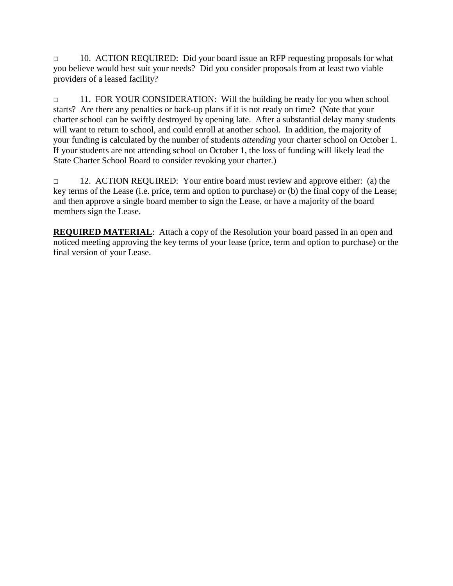□ 10. ACTION REQUIRED: Did your board issue an RFP requesting proposals for what you believe would best suit your needs? Did you consider proposals from at least two viable providers of a leased facility?

□ 11. FOR YOUR CONSIDERATION: Will the building be ready for you when school starts? Are there any penalties or back-up plans if it is not ready on time? (Note that your charter school can be swiftly destroyed by opening late. After a substantial delay many students will want to return to school, and could enroll at another school. In addition, the majority of your funding is calculated by the number of students *attending* your charter school on October 1. If your students are not attending school on October 1, the loss of funding will likely lead the State Charter School Board to consider revoking your charter.)

□ 12. ACTION REQUIRED: Your entire board must review and approve either: (a) the key terms of the Lease (i.e. price, term and option to purchase) or (b) the final copy of the Lease; and then approve a single board member to sign the Lease, or have a majority of the board members sign the Lease.

**REQUIRED MATERIAL:** Attach a copy of the Resolution your board passed in an open and noticed meeting approving the key terms of your lease (price, term and option to purchase) or the final version of your Lease.